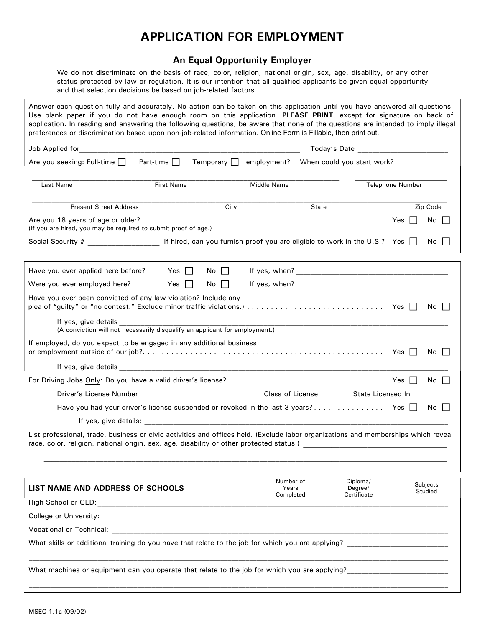## APPLICATION FOR EMPLOYMENT

## An Equal Opportunity Employer

We do not discriminate on the basis of race, color, religion, national origin, sex, age, disability, or any other status protected by law or regulation. It is our intention that all qualified applicants be given equal opportunity and that selection decisions be based on job-related factors.

Answer each question fully and accurately. No action can be taken on this application until you have answered all questions. Use blank paper if you do not have enough room on this application. PLEASE PRINT, except for signature on back of application. In reading and answering the following questions, be aware that none of the questions are intended to imply illegal preferences or discrimination based upon non-job-related information. Online Form is Fillable, then print out. **APPLICATION FOR EMPLOYMENT**<br>
Me do not discriminate on the basis of acce, color, religion, national origin, sex, age, disability, or any other<br>
status protocolor discrimination by an accurately. No action, the identical  $\begin{array}{lllllllllll} \textbf{APPLLCATION FOR EMPLOGYMENT}\\ \text{We do not discriminate on the basis of rate, color, religion, national origin, such as a function of the data selection. It is our information that all quantified applications be given equal opportunity and that selectiones be based on the relation of the second decision. \\ \text{answer each question fully and accounts to be not have no test the one of the second version. } \textbf{PLES FANTP, we need to get a function of the application. In reading and answering the following questions. } \textbf{PLES FANTP, we need to be a set that one of the questions are it is not a set that one of the questions are not the second for the first Name. } \textbf{PISINTP, we need to find a set that the second of the second version. } \textbf{PLES FANTP, we need to find a$ Last Name **First Name** First Name Middle Name **Filter Accompany Accompany Accompany** Telephone Number \_\_\_\_\_\_\_\_\_\_\_\_\_\_\_\_\_\_\_\_\_\_\_\_\_\_\_\_\_\_\_\_\_\_\_\_\_\_\_\_\_\_\_\_\_\_\_\_\_\_\_\_\_\_\_\_\_\_\_\_\_\_\_\_\_\_\_\_\_\_\_\_\_\_\_\_\_\_\_\_\_\_\_\_\_\_\_\_\_\_\_\_\_\_\_\_\_\_\_\_\_\_\_\_ Present Street Address and Street Address City Code City State Street Address 2ip Code ARE INCRETION FOR ENTPLOY TWIEN I<br>
We do not discriminate on the basis of race, color, religion, national origin, sex, age, disability, or any other<br>
status protected by law or regulation. It is our interstion that all au (If you are hired, you may be required to submit proof of age.) We do not discriminate on the basis of race, color, religion, antional origin, sex, age, disability, or any other<br>struts protected by law or requirem. It is our insteading application that all qualified application until and that selection decisions be based on job-related factors.<br>
Answer exert questions for application until you have computed and a movement of the selection fully and constant perform on the substitution. IT exactly for Answer each question fully and accurately. No action can be taken on this application. PLEASE PRINT, except for signature on back of application. In reading and answering the following questions, be aware that none of the Have you ever been convicted of any law violation? Include any applied to the mad any server of the context of the minor of the quilibration of the minor of the quilty the plane of the context of the context of the context of the context of the context of the context of the context o If ed for<br>
If yes, give details<br>
When could you start work?<br>
If yes, give details Name<br>
If yes, give details and the could year of details<br>
If yes, give details and the could year of details<br>
Details and the property of t (A conviction will not necessarily disqualify an applicant for employment.) If employed, do you expect to be engaged in any additional business or employment outside of our job?. . . . . . . . . . . . . . . . . . . . . . . . . . . . . . . . . . . . . . . . . . . . . . . . . . . Yes No First Name<br>
Present Street Address<br>
Present Street Address<br>
The Code<br>
In the Hund, you are of older?<br>
In the Hund, you are detailed to submit proof of age.<br>
If hired, can you furnish proof you are eligible to work in the For Driving Jobs Only: Do you have a valid driver·s license? . . . . . . . . . . . . . . . . . . . . . . . . . . . . . . . . . Yes No 18 years of age or older?<br>
Divide, you may be required to submit proof of age.)<br>
Divide, you may be required to submit proof of age.<br>
During the contrast proof of age.<br>
During the contrast of the contrast of the contrast Bince, you may be required to submit proof of age.)<br>
Lever applied here before? The discussion you furnish proof you are eligible to work in the U.S.? Yes  $\Box$  No  $\Box$ <br>
Lever applied here before? Yes  $\Box$  No  $\Box$  If yes, **F**<br> **If hired, can you furnish proof you are eligible to work in the U.S.? Yes**  $\Box$  **No**  $\Box$ **<br>
applied here before? Yes**  $\Box$  **No**  $\Box$  **If yes, when?<br>
<b>Employed here?** Yes  $\Box$  No  $\Box$  If yes, when?<br> **Deen** convicted of any l List professional, trade, business or civic activities and offices held. (Exclude labor organizations and memberships which reveal race, color, religion, national origin, sex, age, disability or other protected status.) \_\_\_\_\_\_\_\_\_\_\_\_\_\_\_\_\_\_\_\_\_\_\_\_\_\_\_\_\_\_\_\_\_\_\_\_\_\_\_\_\_\_\_\_\_\_\_\_\_\_\_\_\_\_\_\_\_\_\_\_\_\_\_\_\_\_\_\_\_\_\_\_\_\_\_\_\_\_\_\_\_\_\_\_\_\_\_\_\_\_\_\_\_\_\_\_\_\_\_\_\_ LIST NAME AND ADDRESS OF SCHOOLS The Matter of the Means Number of Years Degree/ Cubicus Completed Diploma/ **Certificate** Subjects Studied High School or GED: with the state of the state of the state of the state of the state of the state of the state of the state of the state of the state of the state of the state of the state of the state of the state of th If employed, do you axpect to be engaged in any additional business<br>
or employed, do you axpect to be engaged in any additional business<br>
If yes, give details<br>
For Driving Jobs <u>Only:</u> Do you have a valid driver's license Ves  $\Box$  No  $\Box$ <br>
If yes, give details<br>
If yes, give details<br>
If yes, give details<br>
Or brivar's License Number<br>
Drivar's License Number<br>
Drivar's License Number<br>
Hugh John Hywe, give dimits:<br>
Hugh Hywe, give dimits:<br>
Hugh What skills or additional training do you have that relate to the job for which you are applying? \_\_\_\_\_\_\_\_\_\_\_\_\_\_\_\_\_\_\_\_\_\_\_\_\_\_\_\_ \_\_\_\_\_\_\_\_\_\_\_\_\_\_\_\_\_\_\_\_\_\_\_\_\_\_\_\_\_\_\_\_\_\_\_\_\_\_\_\_\_\_\_\_\_\_\_\_\_\_\_\_\_\_\_\_\_\_\_\_\_\_\_\_\_\_\_\_\_\_\_\_\_\_\_\_\_\_\_\_\_\_\_\_\_\_\_\_\_\_\_\_\_\_\_\_\_\_\_\_\_\_\_\_\_\_\_\_\_\_\_\_\_\_\_\_ What machines or equipment can you operate that relate to the job for which you are applying?

\_\_\_\_\_\_\_\_\_\_\_\_\_\_\_\_\_\_\_\_\_\_\_\_\_\_\_\_\_\_\_\_\_\_\_\_\_\_\_\_\_\_\_\_\_\_\_\_\_\_\_\_\_\_\_\_\_\_\_\_\_\_\_\_\_\_\_\_\_\_\_\_\_\_\_\_\_\_\_\_\_\_\_\_\_\_\_\_\_\_\_\_\_\_\_\_\_\_\_\_\_\_\_\_\_\_\_\_\_\_\_\_\_\_\_\_